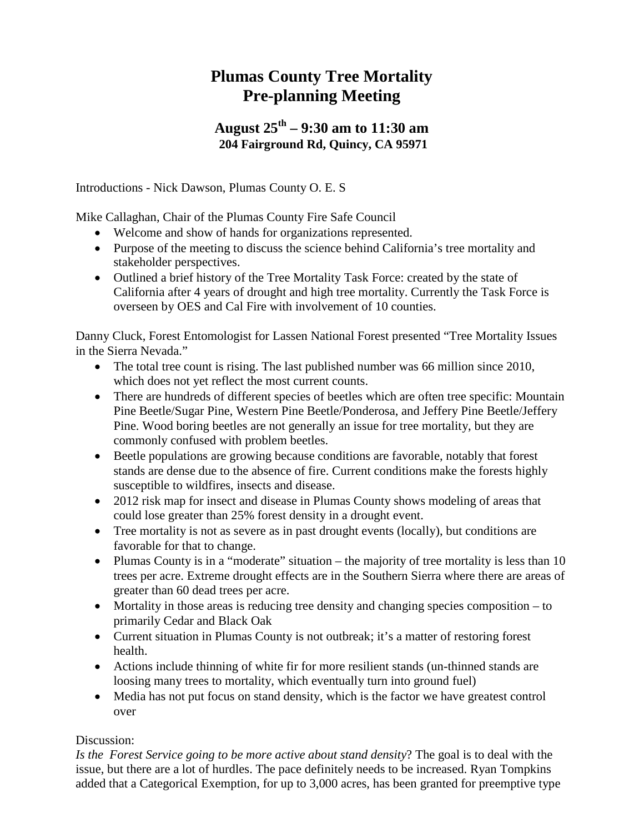## **Plumas County Tree Mortality Pre-planning Meeting**

## **August 25th – 9:30 am to 11:30 am 204 Fairground Rd, Quincy, CA 95971**

Introductions - Nick Dawson, Plumas County O. E. S

Mike Callaghan, Chair of the Plumas County Fire Safe Council

- Welcome and show of hands for organizations represented.
- Purpose of the meeting to discuss the science behind California's tree mortality and stakeholder perspectives.
- Outlined a brief history of the Tree Mortality Task Force: created by the state of California after 4 years of drought and high tree mortality. Currently the Task Force is overseen by OES and Cal Fire with involvement of 10 counties.

Danny Cluck, Forest Entomologist for Lassen National Forest presented "Tree Mortality Issues in the Sierra Nevada."

- The total tree count is rising. The last published number was 66 million since 2010, which does not yet reflect the most current counts.
- There are hundreds of different species of beetles which are often tree specific: Mountain Pine Beetle/Sugar Pine, Western Pine Beetle/Ponderosa, and Jeffery Pine Beetle/Jeffery Pine. Wood boring beetles are not generally an issue for tree mortality, but they are commonly confused with problem beetles.
- Beetle populations are growing because conditions are favorable, notably that forest stands are dense due to the absence of fire. Current conditions make the forests highly susceptible to wildfires, insects and disease.
- 2012 risk map for insect and disease in Plumas County shows modeling of areas that could lose greater than 25% forest density in a drought event.
- Tree mortality is not as severe as in past drought events (locally), but conditions are favorable for that to change.
- Plumas County is in a "moderate" situation the majority of tree mortality is less than 10 trees per acre. Extreme drought effects are in the Southern Sierra where there are areas of greater than 60 dead trees per acre.
- Mortality in those areas is reducing tree density and changing species composition to primarily Cedar and Black Oak
- Current situation in Plumas County is not outbreak; it's a matter of restoring forest health.
- Actions include thinning of white fir for more resilient stands (un-thinned stands are loosing many trees to mortality, which eventually turn into ground fuel)
- Media has not put focus on stand density, which is the factor we have greatest control over

## Discussion:

*Is the Forest Service going to be more active about stand density*? The goal is to deal with the issue, but there are a lot of hurdles. The pace definitely needs to be increased. Ryan Tompkins added that a Categorical Exemption, for up to 3,000 acres, has been granted for preemptive type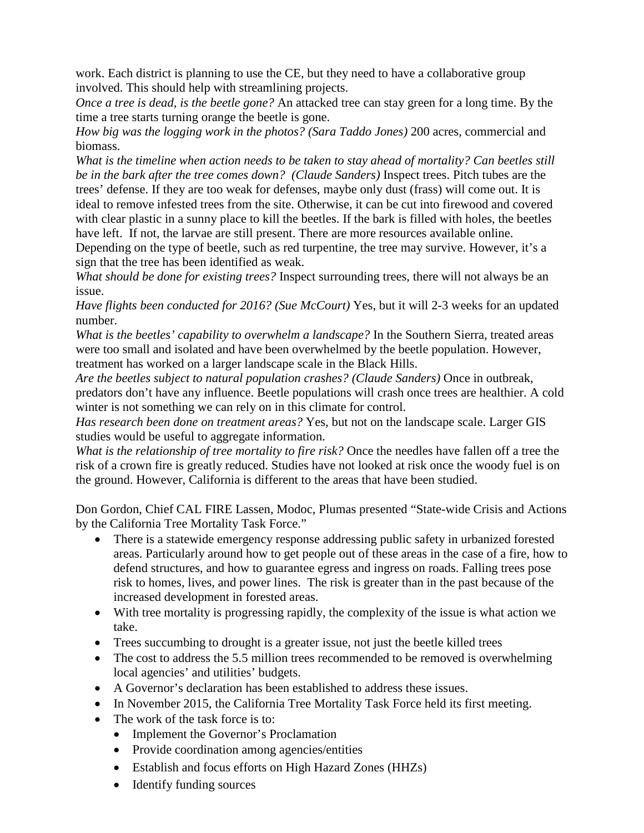work. Each district is planning to use the CE, but they need to have a collaborative group involved. This should help with streamlining projects.

*Once a tree is dead, is the beetle gone?* An attacked tree can stay green for a long time. By the time a tree starts turning orange the beetle is gone.

*How big was the logging work in the photos? (Sara Taddo Jones)* 200 acres, commercial and biomass.

*What is the timeline when action needs to be taken to stay ahead of mortality? Can beetles still be in the bark after the tree comes down? (Claude Sanders)* Inspect trees. Pitch tubes are the trees' defense. If they are too weak for defenses, maybe only dust (frass) will come out. It is ideal to remove infested trees from the site. Otherwise, it can be cut into firewood and covered with clear plastic in a sunny place to kill the beetles. If the bark is filled with holes, the beetles have left. If not, the larvae are still present. There are more resources available online. Depending on the type of beetle, such as red turpentine, the tree may survive. However, it's a sign that the tree has been identified as weak.

*What should be done for existing trees?* Inspect surrounding trees, there will not always be an issue.

*Have flights been conducted for 2016? (Sue McCourt)* Yes, but it will 2-3 weeks for an updated number.

*What is the beetles' capability to overwhelm a landscape?* In the Southern Sierra, treated areas were too small and isolated and have been overwhelmed by the beetle population. However, treatment has worked on a larger landscape scale in the Black Hills.

*Are the beetles subject to natural population crashes? (Claude Sanders)* Once in outbreak, predators don't have any influence. Beetle populations will crash once trees are healthier. A cold winter is not something we can rely on in this climate for control.

*Has research been done on treatment areas?* Yes, but not on the landscape scale. Larger GIS studies would be useful to aggregate information.

*What is the relationship of tree mortality to fire risk?* Once the needles have fallen off a tree the risk of a crown fire is greatly reduced. Studies have not looked at risk once the woody fuel is on the ground. However, California is different to the areas that have been studied.

Don Gordon, Chief CAL FIRE Lassen, Modoc, Plumas presented "State-wide Crisis and Actions by the California Tree Mortality Task Force."

- There is a statewide emergency response addressing public safety in urbanized forested areas. Particularly around how to get people out of these areas in the case of a fire, how to defend structures, and how to guarantee egress and ingress on roads. Falling trees pose risk to homes, lives, and power lines. The risk is greater than in the past because of the increased development in forested areas.
- With tree mortality is progressing rapidly, the complexity of the issue is what action we take.
- Trees succumbing to drought is a greater issue, not just the beetle killed trees
- The cost to address the 5.5 million trees recommended to be removed is overwhelming local agencies' and utilities' budgets.
- A Governor's declaration has been established to address these issues.
- In November 2015, the California Tree Mortality Task Force held its first meeting.
- The work of the task force is to:
	- Implement the Governor's Proclamation
	- Provide coordination among agencies/entities
	- Establish and focus efforts on High Hazard Zones (HHZs)
	- Identify funding sources